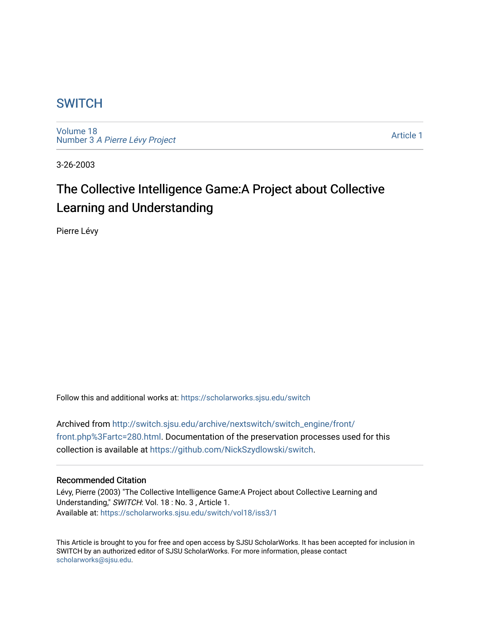## **SWITCH**

[Volume 18](https://scholarworks.sjsu.edu/switch/vol18) Number 3 [A Pierre Lévy Project](https://scholarworks.sjsu.edu/switch/vol18/iss3) 

[Article 1](https://scholarworks.sjsu.edu/switch/vol18/iss3/1) 

3-26-2003

# The Collective Intelligence Game:A Project about Collective Learning and Understanding

Pierre Lévy

Follow this and additional works at: [https://scholarworks.sjsu.edu/switch](https://scholarworks.sjsu.edu/switch?utm_source=scholarworks.sjsu.edu%2Fswitch%2Fvol18%2Fiss3%2F1&utm_medium=PDF&utm_campaign=PDFCoverPages)

Archived from [http://switch.sjsu.edu/archive/nextswitch/switch\\_engine/front/](http://switch.sjsu.edu/archive/nextswitch/switch_engine/front/front.php%3Fartc=280.html) [front.php%3Fartc=280.html.](http://switch.sjsu.edu/archive/nextswitch/switch_engine/front/front.php%3Fartc=280.html) Documentation of the preservation processes used for this collection is available at [https://github.com/NickSzydlowski/switch.](https://github.com/NickSzydlowski/switch)

#### Recommended Citation

Lévy, Pierre (2003) "The Collective Intelligence Game:A Project about Collective Learning and Understanding," SWITCH: Vol. 18 : No. 3 , Article 1. Available at: [https://scholarworks.sjsu.edu/switch/vol18/iss3/1](https://scholarworks.sjsu.edu/switch/vol18/iss3/1?utm_source=scholarworks.sjsu.edu%2Fswitch%2Fvol18%2Fiss3%2F1&utm_medium=PDF&utm_campaign=PDFCoverPages) 

This Article is brought to you for free and open access by SJSU ScholarWorks. It has been accepted for inclusion in SWITCH by an authorized editor of SJSU ScholarWorks. For more information, please contact [scholarworks@sjsu.edu](mailto:scholarworks@sjsu.edu).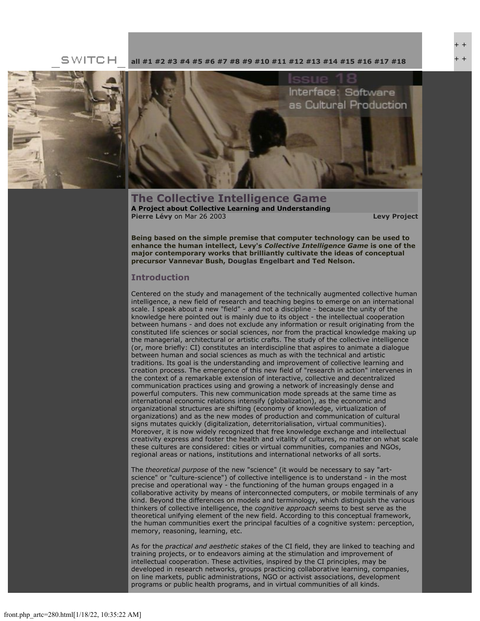SWITCH **[all](file:///Users/nszydlowski/Desktop/websites%20copy/Switch%20Journal/switch.sjsu.edu/archive/nextswitch/switch_engine/front/front.php.html) [#1](file:///Users/nszydlowski/Desktop/websites%20copy/Switch%20Journal/switch.sjsu.edu/archive/nextswitch/switch_engine/front/front.php_cat%3d5.html) [#2](file:///Users/nszydlowski/Desktop/websites%20copy/Switch%20Journal/switch.sjsu.edu/archive/nextswitch/switch_engine/front/front.php_cat%3d6.html) [#3](file:///Users/nszydlowski/Desktop/websites%20copy/Switch%20Journal/switch.sjsu.edu/archive/nextswitch/switch_engine/front/front.php_cat%3d7.html) [#4](file:///Users/nszydlowski/Desktop/websites%20copy/Switch%20Journal/switch.sjsu.edu/archive/nextswitch/switch_engine/front/front.php_cat%3d8.html) [#5](file:///Users/nszydlowski/Desktop/websites%20copy/Switch%20Journal/switch.sjsu.edu/archive/nextswitch/switch_engine/front/front.php_cat%3d9.html) [#6](file:///Users/nszydlowski/Desktop/websites%20copy/Switch%20Journal/switch.sjsu.edu/archive/nextswitch/switch_engine/front/front.php_cat%3d10.html) [#7](file:///Users/nszydlowski/Desktop/websites%20copy/Switch%20Journal/switch.sjsu.edu/archive/nextswitch/switch_engine/front/front.php_cat%3d11.html) [#8](file:///Users/nszydlowski/Desktop/websites%20copy/Switch%20Journal/switch.sjsu.edu/archive/nextswitch/switch_engine/front/front.php_cat%3d12.html) [#9](file:///Users/nszydlowski/Desktop/websites%20copy/Switch%20Journal/switch.sjsu.edu/archive/nextswitch/switch_engine/front/front.php_cat%3d13.html) [#10](file:///Users/nszydlowski/Desktop/websites%20copy/Switch%20Journal/switch.sjsu.edu/archive/nextswitch/switch_engine/front/front.php_cat%3d14.html) [#11](file:///Users/nszydlowski/Desktop/websites%20copy/Switch%20Journal/switch.sjsu.edu/archive/nextswitch/switch_engine/front/front.php_cat%3d15.html) [#12](file:///Users/nszydlowski/Desktop/websites%20copy/Switch%20Journal/switch.sjsu.edu/archive/nextswitch/switch_engine/front/front.php_cat%3d16.html) [#13](file:///Users/nszydlowski/Desktop/websites%20copy/Switch%20Journal/switch.sjsu.edu/archive/nextswitch/switch_engine/front/front.php_cat%3d17.html) [#14](file:///Users/nszydlowski/Desktop/websites%20copy/Switch%20Journal/switch.sjsu.edu/archive/nextswitch/switch_engine/front/front.php_cat%3d18.html) [#15](file:///Users/nszydlowski/Desktop/websites%20copy/Switch%20Journal/switch.sjsu.edu/archive/nextswitch/switch_engine/front/front.php_cat%3d19.html) [#16](file:///Users/nszydlowski/Desktop/websites%20copy/Switch%20Journal/switch.sjsu.edu/archive/nextswitch/switch_engine/front/front.php_cat%3d20.html) [#17](file:///Users/nszydlowski/Desktop/websites%20copy/Switch%20Journal/switch.sjsu.edu/archive/nextswitch/switch_engine/front/front.php_cat%3d21.html) [#18](file:///Users/nszydlowski/Desktop/websites%20copy/Switch%20Journal/switch.sjsu.edu/archive/nextswitch/switch_engine/front/front.php_cat%3d44.html)**



Interface: Software as Cultural Production

**The Collective Intelligence Game A Project about Collective Learning and Understanding [Pierre Lévy](file:///Users/nszydlowski/Desktop/websites%20copy/Switch%20Journal/switch.sjsu.edu/archive/nextswitch/switch_engine/front/users.php_w%3d98.html)** on Mar 26 2003 **[Levy Project](file:///Users/nszydlowski/Desktop/websites%20copy/Switch%20Journal/switch.sjsu.edu/archive/nextswitch/switch_engine/front/front.php_cat%3d48.html)**

+ + + +

**Being based on the simple premise that computer technology can be used to enhance the human intellect, Levy's** *Collective Intelligence Game* **is one of the major contemporary works that brilliantly cultivate the ideas of conceptual precursor Vannevar Bush, [Douglas Engelbart](file:///Users/nszydlowski/Desktop/websites%20copy/Switch%20Journal/switch.sjsu.edu/archive/nextswitch/switch_engine/front/front.php_cat%3d45.html) and Ted Nelson.** 

#### **Introduction**

Centered on the study and management of the technically augmented collective human intelligence, a new field of research and teaching begins to emerge on an international scale. I speak about a new "field" - and not a discipline - because the unity of the knowledge here pointed out is mainly due to its object - the intellectual cooperation between humans - and does not exclude any information or result originating from the constituted life sciences or social sciences, nor from the practical knowledge making up the managerial, architectural or artistic crafts. The study of the collective intelligence (or, more briefly: CI) constitutes an interdiscipline that aspires to animate a dialogue between human and social sciences as much as with the technical and artistic traditions. Its goal is the understanding and improvement of collective learning and creation process. The emergence of this new field of "research in action" intervenes in the context of a remarkable extension of interactive, collective and decentralized communication practices using and growing a network of increasingly dense and powerful computers. This new communication mode spreads at the same time as international economic relations intensify (globalization), as the economic and organizational structures are shifting (economy of knowledge, virtualization of organizations) and as the new modes of production and communication of cultural signs mutates quickly (digitalization, deterritorialisation, virtual communities). Moreover, it is now widely recognized that free knowledge exchange and intellectual creativity express and foster the health and vitality of cultures, no matter on what scale these cultures are considered: cities or virtual communities, companies and NGOs, regional areas or nations, institutions and international networks of all sorts.

The *theoretical purpose* of the new "science" (it would be necessary to say "artscience" or "culture-science") of collective intelligence is to understand - in the most precise and operational way - the functioning of the human groups engaged in a collaborative activity by means of interconnected computers, or mobile terminals of any kind. Beyond the differences on models and terminology, which distinguish the various thinkers of collective intelligence, the *cognitive approach* seems to best serve as the theoretical unifying element of the new field. According to this conceptual framework, the human communities exert the principal faculties of a cognitive system: perception, memory, reasoning, learning, etc.

As for the *practical and aesthetic stakes* of the CI field, they are linked to teaching and training projects, or to endeavors aiming at the stimulation and improvement of intellectual cooperation. These activities, inspired by the CI principles, may be developed in research networks, groups practicing collaborative learning, companies, on line markets, public administrations, NGO or activist associations, development programs or public health programs, and in virtual communities of all kinds.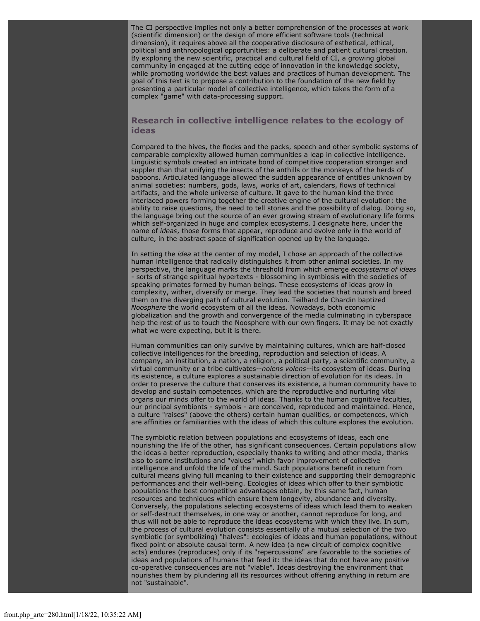The CI perspective implies not only a better comprehension of the processes at work (scientific dimension) or the design of more efficient software tools (technical dimension), it requires above all the cooperative disclosure of esthetical, ethical, political and anthropological opportunities: a deliberate and patient cultural creation. By exploring the new scientific, practical and cultural field of CI, a growing global community in engaged at the cutting edge of innovation in the knowledge society, while promoting worldwide the best values and practices of human development. The goal of this text is to propose a contribution to the foundation of the new field by presenting a particular model of collective intelligence, which takes the form of a complex "game" with data-processing support.

#### **Research in collective intelligence relates to the ecology of ideas**

Compared to the hives, the flocks and the packs, speech and other symbolic systems of comparable complexity allowed human communities a leap in collective intelligence. Linguistic symbols created an intricate bond of competitive cooperation stronger and suppler than that unifying the insects of the anthills or the monkeys of the herds of baboons. Articulated language allowed the sudden appearance of entities unknown by animal societies: numbers, gods, laws, works of art, calendars, flows of technical artifacts, and the whole universe of culture. It gave to the human kind the three interlaced powers forming together the creative engine of the cultural evolution: the ability to raise questions, the need to tell stories and the possibility of dialog. Doing so, the language bring out the source of an ever growing stream of evolutionary life forms which self-organized in huge and complex ecosystems. I designate here, under the name of *ideas*, those forms that appear, reproduce and evolve only in the world of culture, in the abstract space of signification opened up by the language.

In setting the *idea* at the center of my model, I chose an approach of the collective human intelligence that radically distinguishes it from other animal societies. In my perspective, the language marks the threshold from which emerge *ecosystems of ideas* - sorts of strange spiritual hypertexts - blossoming in symbiosis with the societies of speaking primates formed by human beings. These ecosystems of ideas grow in complexity, wither, diversify or merge. They lead the societies that nourish and breed them on the diverging path of cultural evolution. Teilhard de Chardin baptized *Noosphere* the world ecosystem of all the ideas. Nowadays, both economic globalization and the growth and convergence of the media culminating in cyberspace help the rest of us to touch the Noosphere with our own fingers. It may be not exactly what we were expecting, but it is there.

Human communities can only survive by maintaining cultures, which are half-closed collective intelligences for the breeding, reproduction and selection of ideas. A company, an institution, a nation, a religion, a political party, a scientific community, a virtual community or a tribe cultivates--*nolens volens*--its ecosystem of ideas. During its existence, a culture explores a sustainable direction of evolution for its ideas. In order to preserve the culture that conserves its existence, a human community have to develop and sustain competences, which are the reproductive and nurturing vital organs our minds offer to the world of ideas. Thanks to the human cognitive faculties, our principal symbionts - symbols - are conceived, reproduced and maintained. Hence, a culture "raises" (above the others) certain human qualities, or competences, which are affinities or familiarities with the ideas of which this culture explores the evolution.

The symbiotic relation between populations and ecosystems of ideas, each one nourishing the life of the other, has significant consequences. Certain populations allow the ideas a better reproduction, especially thanks to writing and other media, thanks also to some institutions and "values" which favor improvement of collective intelligence and unfold the life of the mind. Such populations benefit in return from cultural means giving full meaning to their existence and supporting their demographic performances and their well-being. Ecologies of ideas which offer to their symbiotic populations the best competitive advantages obtain, by this same fact, human resources and techniques which ensure them longevity, abundance and diversity. Conversely, the populations selecting ecosystems of ideas which lead them to weaken or self-destruct themselves, in one way or another, cannot reproduce for long, and thus will not be able to reproduce the ideas ecosystems with which they live. In sum, the process of cultural evolution consists essentially of a mutual selection of the two symbiotic (or symbolizing) "halves": ecologies of ideas and human populations, without fixed point or absolute causal term. A new idea (a new circuit of complex cognitive acts) endures (reproduces) only if its "repercussions" are favorable to the societies of ideas and populations of humans that feed it: the ideas that do not have any positive co-operative consequences are not "viable". Ideas destroying the environment that nourishes them by plundering all its resources without offering anything in return are not "sustainable".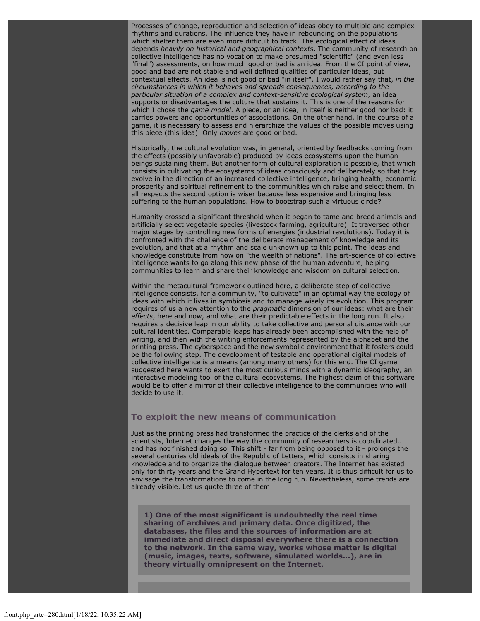Processes of change, reproduction and selection of ideas obey to multiple and complex rhythms and durations. The influence they have in rebounding on the populations which shelter them are even more difficult to track. The ecological effect of ideas depends *heavily on historical and geographical contexts*. The community of research on collective intelligence has no vocation to make presumed "scientific" (and even less "final") assessments, on how much good or bad is an idea. From the CI point of view, good and bad are not stable and well defined qualities of particular ideas, but contextual effects. An idea is not good or bad "in itself". I would rather say that, *in the circumstances in which it behaves and spreads consequences, according to the particular situation of a complex and context-sensitive ecological system*, an idea supports or disadvantages the culture that sustains it. This is one of the reasons for which I chose the *game model*. A piece, or an idea, in itself is neither good nor bad: it carries powers and opportunities of associations. On the other hand, in the course of a game, it is necessary to assess and hierarchize the values of the possible moves using this piece (this idea). Only *moves* are good or bad.

Historically, the cultural evolution was, in general, oriented by feedbacks coming from the effects (possibly unfavorable) produced by ideas ecosystems upon the human beings sustaining them. But another form of cultural exploration is possible, that which consists in cultivating the ecosystems of ideas consciously and deliberately so that they evolve in the direction of an increased collective intelligence, bringing health, economic prosperity and spiritual refinement to the communities which raise and select them. In all respects the second option is wiser because less expensive and bringing less suffering to the human populations. How to bootstrap such a virtuous circle?

Humanity crossed a significant threshold when it began to tame and breed animals and artificially select vegetable species (livestock farming, agriculture). It traversed other major stages by controlling new forms of energies (industrial revolutions). Today it is confronted with the challenge of the deliberate management of knowledge and its evolution, and that at a rhythm and scale unknown up to this point. The ideas and knowledge constitute from now on "the wealth of nations". The art-science of collective intelligence wants to go along this new phase of the human adventure, helping communities to learn and share their knowledge and wisdom on cultural selection.

Within the metacultural framework outlined here, a deliberate step of collective intelligence consists, for a community, "to cultivate" in an optimal way the ecology of ideas with which it lives in symbiosis and to manage wisely its evolution. This program requires of us a new attention to the *pragmatic* dimension of our ideas: what are their *effects*, here and now, and what are their predictable effects in the long run. It also requires a decisive leap in our ability to take collective and personal distance with our cultural identities. Comparable leaps has already been accomplished with the help of writing, and then with the writing enforcements represented by the alphabet and the printing press. The cyberspace and the new symbolic environment that it fosters could be the following step. The development of testable and operational digital models of collective intelligence is a means (among many others) for this end. The CI game suggested here wants to exert the most curious minds with a dynamic ideography, an interactive modeling tool of the cultural ecosystems. The highest claim of this software would be to offer a mirror of their collective intelligence to the communities who will decide to use it.

#### **To exploit the new means of communication**

Just as the printing press had transformed the practice of the clerks and of the scientists, Internet changes the way the community of researchers is coordinated... and has not finished doing so. This shift - far from being opposed to it - prolongs the several centuries old ideals of the Republic of Letters, which consists in sharing knowledge and to organize the dialogue between creators. The Internet has existed only for thirty years and the Grand Hypertext for ten years. It is thus difficult for us to envisage the transformations to come in the long run. Nevertheless, some trends are already visible. Let us quote three of them.

**1) One of the most significant is undoubtedly the real time sharing of archives and primary data. Once digitized, the databases, the files and the sources of information are at immediate and direct disposal everywhere there is a connection to the network. In the same way, works whose matter is digital (music, images, texts, software, simulated worlds...), are in theory virtually omnipresent on the Internet.**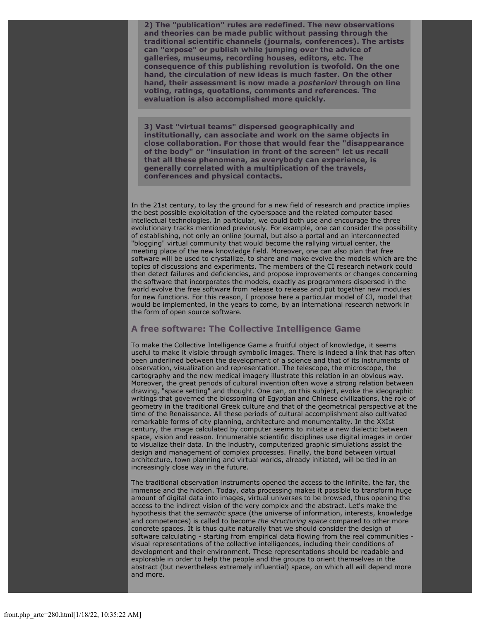**2) The "publication" rules are redefined. The new observations and theories can be made public without passing through the traditional scientific channels (journals, conferences). The artists can "expose" or publish while jumping over the advice of galleries, museums, recording houses, editors, etc. The consequence of this publishing revolution is twofold. On the one hand, the circulation of new ideas is much faster. On the other hand, their assessment is now made a** *posteriori* **through on line voting, ratings, quotations, comments and references. The evaluation is also accomplished more quickly.**

**3) Vast "virtual teams" dispersed geographically and institutionally, can associate and work on the same objects in close collaboration. For those that would fear the "disappearance of the body" or "insulation in front of the screen" let us recall that all these phenomena, as everybody can experience, is generally correlated with a multiplication of the travels, conferences and physical contacts.**

In the 21st century, to lay the ground for a new field of research and practice implies the best possible exploitation of the cyberspace and the related computer based intellectual technologies. In particular, we could both use and encourage the three evolutionary tracks mentioned previously. For example, one can consider the possibility of establishing, not only an online journal, but also a portal and an interconnected "blogging" virtual community that would become the rallying virtual center, the meeting place of the new knowledge field. Moreover, one can also plan that free software will be used to crystallize, to share and make evolve the models which are the topics of discussions and experiments. The members of the CI research network could then detect failures and deficiencies, and propose improvements or changes concerning the software that incorporates the models, exactly as programmers dispersed in the world evolve the free software from release to release and put together new modules for new functions. For this reason, I propose here a particular model of CI, model that would be implemented, in the years to come, by an international research network in the form of open source software.

#### **A free software: The Collective Intelligence Game**

To make the Collective Intelligence Game a fruitful object of knowledge, it seems useful to make it visible through symbolic images. There is indeed a link that has often been underlined between the development of a science and that of its instruments of observation, visualization and representation. The telescope, the microscope, the cartography and the new medical imagery illustrate this relation in an obvious way. Moreover, the great periods of cultural invention often wove a strong relation between drawing, "space setting" and thought. One can, on this subject, evoke the ideographic writings that governed the blossoming of Egyptian and Chinese civilizations, the role of geometry in the traditional Greek culture and that of the geometrical perspective at the time of the Renaissance. All these periods of cultural accomplishment also cultivated remarkable forms of city planning, architecture and monumentality. In the XXIst century, the image calculated by computer seems to initiate a new dialectic between space, vision and reason. Innumerable scientific disciplines use digital images in order to visualize their data. In the industry, computerized graphic simulations assist the design and management of complex processes. Finally, the bond between virtual architecture, town planning and virtual worlds, already initiated, will be tied in an increasingly close way in the future.

The traditional observation instruments opened the access to the infinite, the far, the immense and the hidden. Today, data processing makes it possible to transform huge amount of digital data into images, virtual universes to be browsed, thus opening the access to the indirect vision of the very complex and the abstract. Let's make the hypothesis that the *semantic space* (the universe of information, interests, knowledge and competences) is called to become *the structuring space* compared to other more concrete spaces. It is thus quite naturally that we should consider the design of software calculating - starting from empirical data flowing from the real communities visual representations of the collective intelligences, including their conditions of development and their environment. These representations should be readable and explorable in order to help the people and the groups to orient themselves in the abstract (but nevertheless extremely influential) space, on which all will depend more and more.